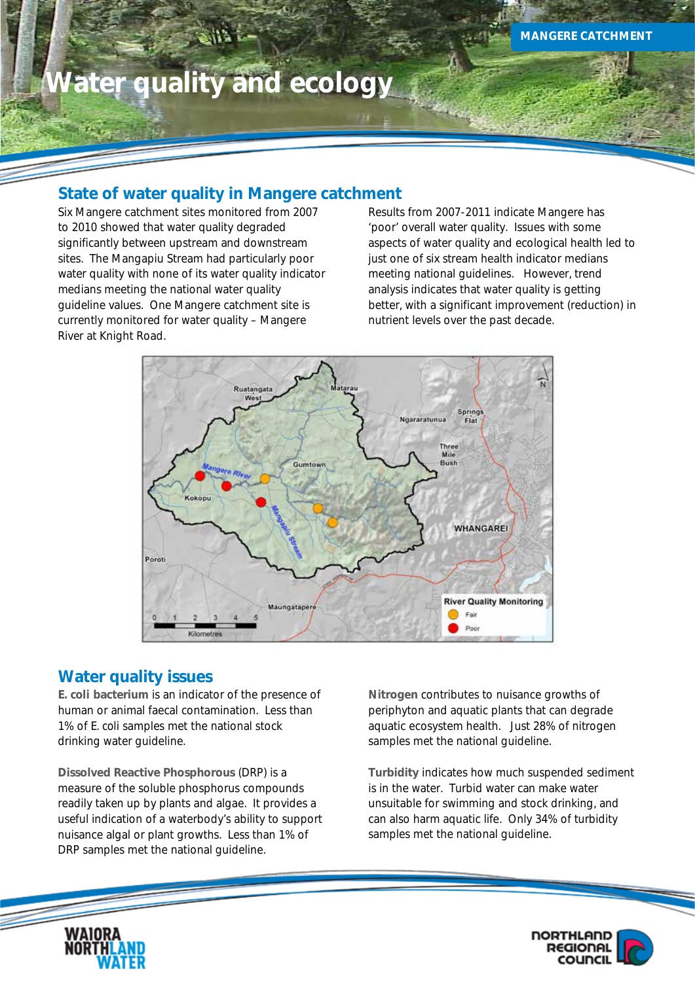# **Water quality and ecology**

## **State of water quality in Mangere catchment**

Six Mangere catchment sites monitored from 2007 to 2010 showed that water quality degraded significantly between upstream and downstream sites. The Mangapiu Stream had particularly poor water quality with none of its water quality indicator medians meeting the national water quality guideline values. One Mangere catchment site is currently monitored for water quality – Mangere River at Knight Road.

Results from 2007-2011 indicate Mangere has 'poor' overall water quality. Issues with some aspects of water quality and ecological health led to just one of six stream health indicator medians meeting national guidelines. However, trend analysis indicates that water quality is getting better, with a significant improvement (reduction) in nutrient levels over the past decade.



## **Water quality issues**

*E. coli* **bacterium** is an indicator of the presence of human or animal faecal contamination. Less than 1% of *E. coli* samples met the national stock drinking water guideline.

**Dissolved Reactive Phosphorous** (DRP) is a measure of the soluble phosphorus compounds readily taken up by plants and algae. It provides a useful indication of a waterbody's ability to support nuisance algal or plant growths. Less than 1% of DRP samples met the national guideline.

**Nitrogen** contributes to nuisance growths of periphyton and aquatic plants that can degrade aquatic ecosystem health. Just 28% of nitrogen samples met the national guideline.

**Turbidity** indicates how much suspended sediment is in the water. Turbid water can make water unsuitable for swimming and stock drinking, and can also harm aquatic life. Only 34% of turbidity samples met the national guideline.



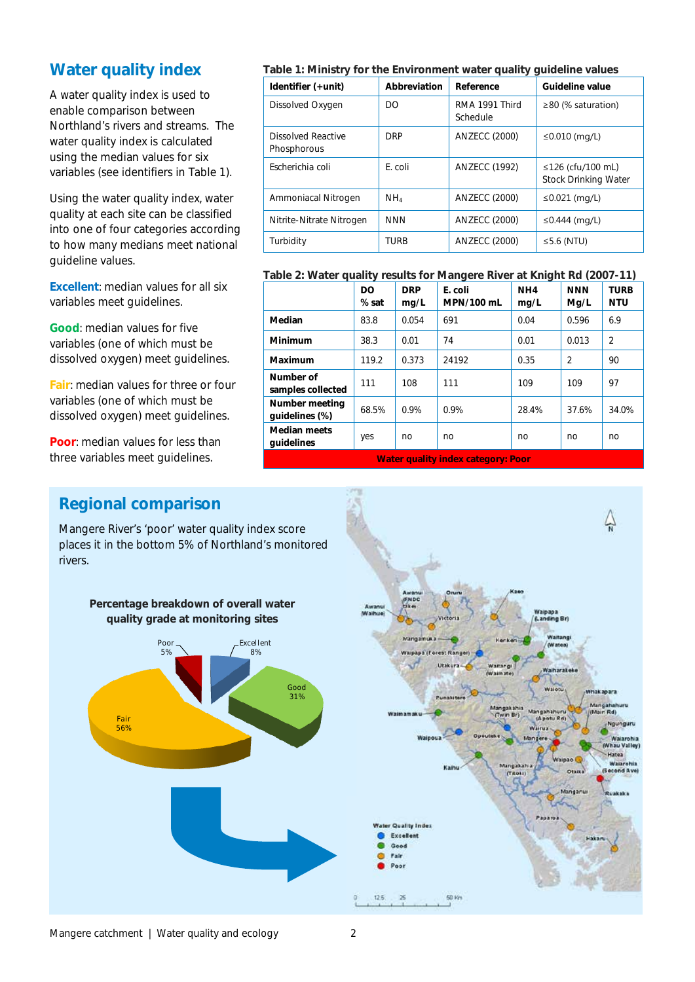## **Water quality index**

A water quality index is used to enable comparison between Northland's rivers and streams. The water quality index is calculated using the median values for six variables (see identifiers in Table 1).

Using the water quality index, water quality at each site can be classified into one of four categories according to how many medians meet national guideline values.

**Excellent**: median values for all six variables meet guidelines.

**Good**: median values for five variables (one of which must be dissolved oxygen) meet guidelines.

**Fair**: median values for three or four variables (one of which must be dissolved oxygen) meet guidelines.

**Poor:** median values for less than three variables meet guidelines.

## **Table 1: Ministry for the Environment water quality guideline values**

| Identifier (+unit)                | Abbreviation    | Reference                  | <b>Guideline value</b>                                 |  |
|-----------------------------------|-----------------|----------------------------|--------------------------------------------------------|--|
| Dissolved Oxygen                  | DO.             | RMA 1991 Third<br>Schedule | $\geq$ 80 (% saturation)                               |  |
| Dissolved Reactive<br>Phosphorous | <b>DRP</b>      | <b>ANZECC (2000)</b>       | ≤0.010 (mg/L)                                          |  |
| Escherichia coli                  | E. coli         | <b>ANZECC (1992)</b>       | $\leq$ 126 (cfu/100 mL)<br><b>Stock Drinking Water</b> |  |
| Ammoniacal Nitrogen               | NH <sub>4</sub> | <b>ANZECC (2000)</b>       | ≤0.021 (mg/L)                                          |  |
| Nitrite-Nitrate Nitrogen          | <b>NNN</b>      | <b>ANZECC (2000)</b>       | ≤0.444 (mg/L)                                          |  |
| Turbidity                         | <b>TURB</b>     | <b>ANZECC (2000)</b>       | $\leq$ 5.6 (NTU)                                       |  |

#### **Table 2: Water quality results for Mangere River at Knight Rd (2007-11)**

|                                         | <b>DO</b><br>% sat | <b>DRP</b><br>mq/L | E. coli<br>MPN/100 mL | NH4<br>mq/L | <b>NNN</b><br>Mg/L | <b>TURB</b><br><b>NTU</b> |  |  |
|-----------------------------------------|--------------------|--------------------|-----------------------|-------------|--------------------|---------------------------|--|--|
| Median                                  | 83.8               | 0.054              | 691                   | 0.04        | 0.596              | 6.9                       |  |  |
| Minimum                                 | 38.3               | 0.01               | 74                    | 0.01        | 0.013              | $\overline{2}$            |  |  |
| Maximum                                 | 119.2              | 0.373              | 24192                 | 0.35        | $\overline{2}$     | 90                        |  |  |
| Number of<br>samples collected          | 111                | 108                | 111                   | 109         | 109                | 97                        |  |  |
| Number meeting<br>quidelines (%)        | 68.5%              | 0.9%               | 0.9%                  | 28.4%       | 37.6%              | 34.0%                     |  |  |
| <b>Median meets</b><br>quidelines       | yes                | no                 | no                    | no          | n <sub>O</sub>     | no                        |  |  |
| 18/aban arraithe to day, and among Dann |                    |                    |                       |             |                    |                           |  |  |

**Water quality index category: Poor**

## **Regional comparison**

Mangere River's 'poor' water quality index score places it in the bottom 5% of Northland's monitored rivers.

**Percentage breakdown of overall water** 



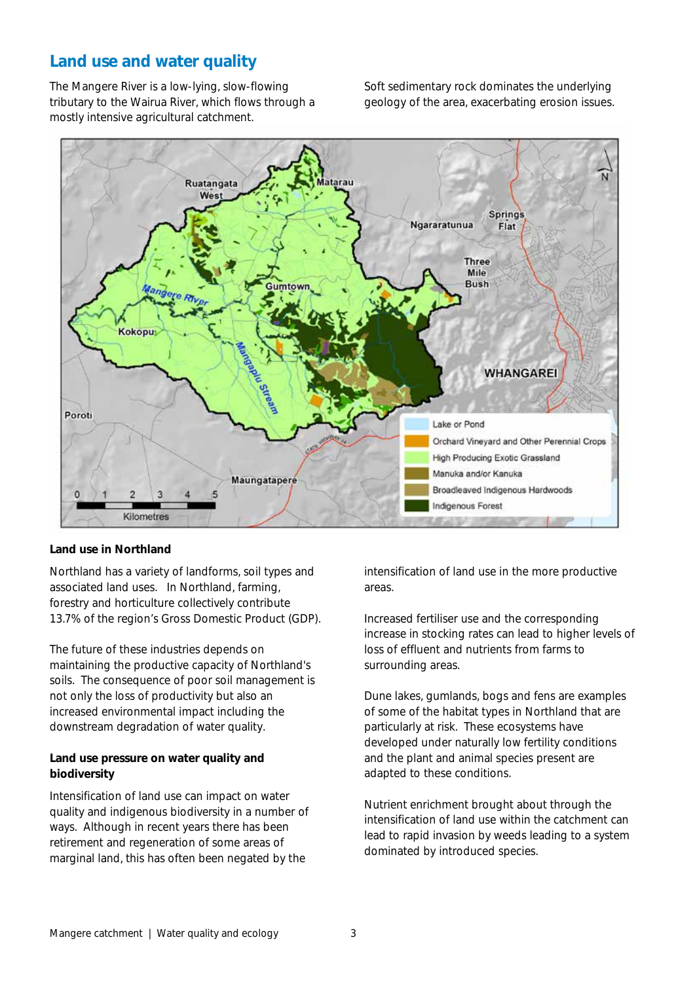## **Land use and water quality**

The Mangere River is a low-lying, slow-flowing tributary to the Wairua River, which flows through a mostly intensive agricultural catchment.

Soft sedimentary rock dominates the underlying geology of the area, exacerbating erosion issues.



#### **Land use in Northland**

Northland has a variety of landforms, soil types and associated land uses. In Northland, farming, forestry and horticulture collectively contribute 13.7% of the region's Gross Domestic Product (GDP).

The future of these industries depends on maintaining the productive capacity of Northland's soils. The consequence of poor soil management is not only the loss of productivity but also an increased environmental impact including the downstream degradation of water quality.

## **Land use pressure on water quality and biodiversity**

Intensification of land use can impact on water quality and indigenous biodiversity in a number of ways. Although in recent years there has been retirement and regeneration of some areas of marginal land, this has often been negated by the

intensification of land use in the more productive areas.

Increased fertiliser use and the corresponding increase in stocking rates can lead to higher levels of loss of effluent and nutrients from farms to surrounding areas.

Dune lakes, gumlands, bogs and fens are examples of some of the habitat types in Northland that are particularly at risk. These ecosystems have developed under naturally low fertility conditions and the plant and animal species present are adapted to these conditions.

Nutrient enrichment brought about through the intensification of land use within the catchment can lead to rapid invasion by weeds leading to a system dominated by introduced species.